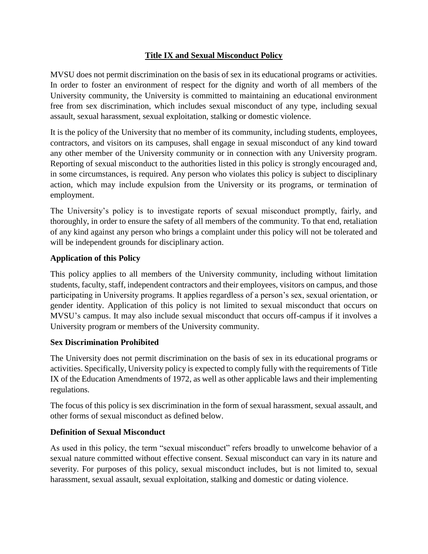# **Title IX and Sexual Misconduct Policy**

MVSU does not permit discrimination on the basis of sex in its educational programs or activities. In order to foster an environment of respect for the dignity and worth of all members of the University community, the University is committed to maintaining an educational environment free from sex discrimination, which includes sexual misconduct of any type, including sexual assault, sexual harassment, sexual exploitation, stalking or domestic violence.

It is the policy of the University that no member of its community, including students, employees, contractors, and visitors on its campuses, shall engage in sexual misconduct of any kind toward any other member of the University community or in connection with any University program. Reporting of sexual misconduct to the authorities listed in this policy is strongly encouraged and, in some circumstances, is required. Any person who violates this policy is subject to disciplinary action, which may include expulsion from the University or its programs, or termination of employment.

The University's policy is to investigate reports of sexual misconduct promptly, fairly, and thoroughly, in order to ensure the safety of all members of the community. To that end, retaliation of any kind against any person who brings a complaint under this policy will not be tolerated and will be independent grounds for disciplinary action.

### **Application of this Policy**

This policy applies to all members of the University community, including without limitation students, faculty, staff, independent contractors and their employees, visitors on campus, and those participating in University programs. It applies regardless of a person's sex, sexual orientation, or gender identity. Application of this policy is not limited to sexual misconduct that occurs on MVSU's campus. It may also include sexual misconduct that occurs off-campus if it involves a University program or members of the University community.

### **Sex Discrimination Prohibited**

The University does not permit discrimination on the basis of sex in its educational programs or activities. Specifically, University policy is expected to comply fully with the requirements of Title IX of the Education Amendments of 1972, as well as other applicable laws and their implementing regulations.

The focus of this policy is sex discrimination in the form of sexual harassment, sexual assault, and other forms of sexual misconduct as defined below.

### **Definition of Sexual Misconduct**

As used in this policy, the term "sexual misconduct" refers broadly to unwelcome behavior of a sexual nature committed without effective consent. Sexual misconduct can vary in its nature and severity. For purposes of this policy, sexual misconduct includes, but is not limited to, sexual harassment, sexual assault, sexual exploitation, stalking and domestic or dating violence.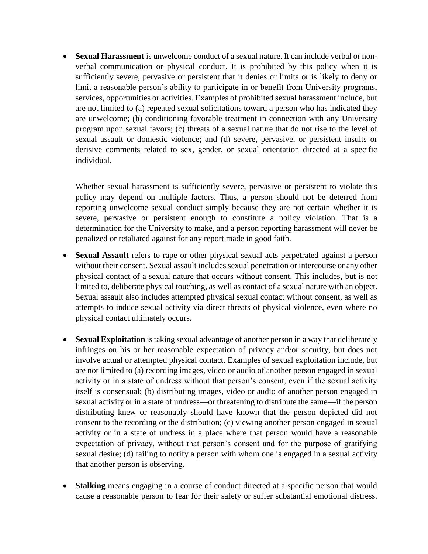• **Sexual Harassment** is unwelcome conduct of a sexual nature. It can include verbal or nonverbal communication or physical conduct. It is prohibited by this policy when it is sufficiently severe, pervasive or persistent that it denies or limits or is likely to deny or limit a reasonable person's ability to participate in or benefit from University programs, services, opportunities or activities. Examples of prohibited sexual harassment include, but are not limited to (a) repeated sexual solicitations toward a person who has indicated they are unwelcome; (b) conditioning favorable treatment in connection with any University program upon sexual favors; (c) threats of a sexual nature that do not rise to the level of sexual assault or domestic violence; and (d) severe, pervasive, or persistent insults or derisive comments related to sex, gender, or sexual orientation directed at a specific individual.

Whether sexual harassment is sufficiently severe, pervasive or persistent to violate this policy may depend on multiple factors. Thus, a person should not be deterred from reporting unwelcome sexual conduct simply because they are not certain whether it is severe, pervasive or persistent enough to constitute a policy violation. That is a determination for the University to make, and a person reporting harassment will never be penalized or retaliated against for any report made in good faith.

- **Sexual Assault** refers to rape or other physical sexual acts perpetrated against a person without their consent. Sexual assault includes sexual penetration or intercourse or any other physical contact of a sexual nature that occurs without consent. This includes, but is not limited to, deliberate physical touching, as well as contact of a sexual nature with an object. Sexual assault also includes attempted physical sexual contact without consent, as well as attempts to induce sexual activity via direct threats of physical violence, even where no physical contact ultimately occurs.
- **Sexual Exploitation** is taking sexual advantage of another person in a way that deliberately infringes on his or her reasonable expectation of privacy and/or security, but does not involve actual or attempted physical contact. Examples of sexual exploitation include, but are not limited to (a) recording images, video or audio of another person engaged in sexual activity or in a state of undress without that person's consent, even if the sexual activity itself is consensual; (b) distributing images, video or audio of another person engaged in sexual activity or in a state of undress—or threatening to distribute the same—if the person distributing knew or reasonably should have known that the person depicted did not consent to the recording or the distribution; (c) viewing another person engaged in sexual activity or in a state of undress in a place where that person would have a reasonable expectation of privacy, without that person's consent and for the purpose of gratifying sexual desire; (d) failing to notify a person with whom one is engaged in a sexual activity that another person is observing.
- **Stalking** means engaging in a course of conduct directed at a specific person that would cause a reasonable person to fear for their safety or suffer substantial emotional distress.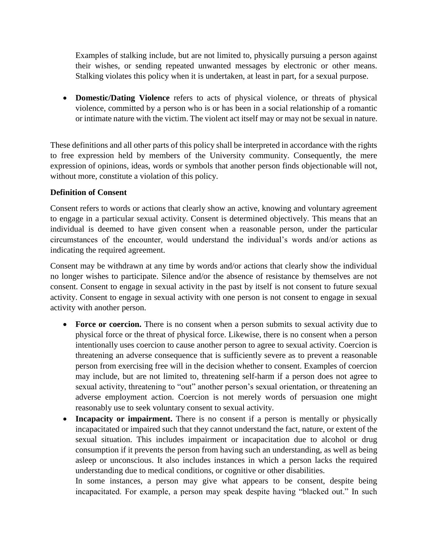Examples of stalking include, but are not limited to, physically pursuing a person against their wishes, or sending repeated unwanted messages by electronic or other means. Stalking violates this policy when it is undertaken, at least in part, for a sexual purpose.

• **Domestic/Dating Violence** refers to acts of physical violence, or threats of physical violence, committed by a person who is or has been in a social relationship of a romantic or intimate nature with the victim. The violent act itself may or may not be sexual in nature.

These definitions and all other parts of this policy shall be interpreted in accordance with the rights to free expression held by members of the University community. Consequently, the mere expression of opinions, ideas, words or symbols that another person finds objectionable will not, without more, constitute a violation of this policy.

### **Definition of Consent**

Consent refers to words or actions that clearly show an active, knowing and voluntary agreement to engage in a particular sexual activity. Consent is determined objectively. This means that an individual is deemed to have given consent when a reasonable person, under the particular circumstances of the encounter, would understand the individual's words and/or actions as indicating the required agreement.

Consent may be withdrawn at any time by words and/or actions that clearly show the individual no longer wishes to participate. Silence and/or the absence of resistance by themselves are not consent. Consent to engage in sexual activity in the past by itself is not consent to future sexual activity. Consent to engage in sexual activity with one person is not consent to engage in sexual activity with another person.

- **Force or coercion.** There is no consent when a person submits to sexual activity due to physical force or the threat of physical force. Likewise, there is no consent when a person intentionally uses coercion to cause another person to agree to sexual activity. Coercion is threatening an adverse consequence that is sufficiently severe as to prevent a reasonable person from exercising free will in the decision whether to consent. Examples of coercion may include, but are not limited to, threatening self-harm if a person does not agree to sexual activity, threatening to "out" another person's sexual orientation, or threatening an adverse employment action. Coercion is not merely words of persuasion one might reasonably use to seek voluntary consent to sexual activity.
- **Incapacity or impairment.** There is no consent if a person is mentally or physically incapacitated or impaired such that they cannot understand the fact, nature, or extent of the sexual situation. This includes impairment or incapacitation due to alcohol or drug consumption if it prevents the person from having such an understanding, as well as being asleep or unconscious. It also includes instances in which a person lacks the required understanding due to medical conditions, or cognitive or other disabilities.

In some instances, a person may give what appears to be consent, despite being incapacitated. For example, a person may speak despite having "blacked out." In such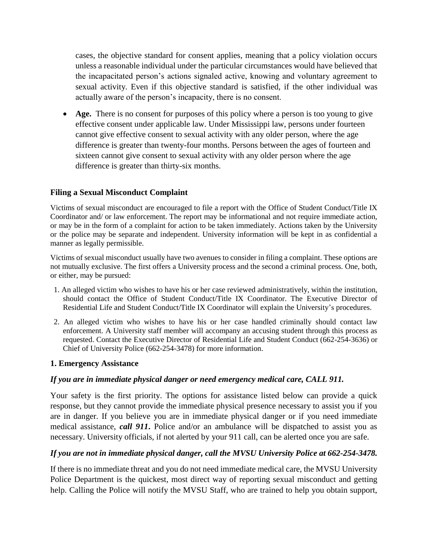cases, the objective standard for consent applies, meaning that a policy violation occurs unless a reasonable individual under the particular circumstances would have believed that the incapacitated person's actions signaled active, knowing and voluntary agreement to sexual activity. Even if this objective standard is satisfied, if the other individual was actually aware of the person's incapacity, there is no consent.

• **Age.** There is no consent for purposes of this policy where a person is too young to give effective consent under applicable law. Under Mississippi law, persons under fourteen cannot give effective consent to sexual activity with any older person, where the age difference is greater than twenty-four months. Persons between the ages of fourteen and sixteen cannot give consent to sexual activity with any older person where the age difference is greater than thirty-six months.

### **Filing a Sexual Misconduct Complaint**

Victims of sexual misconduct are encouraged to file a report with the Office of Student Conduct/Title IX Coordinator and/ or law enforcement. The report may be informational and not require immediate action, or may be in the form of a complaint for action to be taken immediately. Actions taken by the University or the police may be separate and independent. University information will be kept in as confidential a manner as legally permissible.

Victims of sexual misconduct usually have two avenues to consider in filing a complaint. These options are not mutually exclusive. The first offers a University process and the second a criminal process. One, both, or either, may be pursued:

- 1. An alleged victim who wishes to have his or her case reviewed administratively, within the institution, should contact the Office of Student Conduct/Title IX Coordinator. The Executive Director of Residential Life and Student Conduct/Title IX Coordinator will explain the University's procedures.
- 2. An alleged victim who wishes to have his or her case handled criminally should contact law enforcement. A University staff member will accompany an accusing student through this process as requested. Contact the Executive Director of Residential Life and Student Conduct (662-254-3636) or Chief of University Police (662-254-3478) for more information.

#### **1. Emergency Assistance**

### *If you are in immediate physical danger or need emergency medical care, CALL 911.*

Your safety is the first priority. The options for assistance listed below can provide a quick response, but they cannot provide the immediate physical presence necessary to assist you if you are in danger. If you believe you are in immediate physical danger or if you need immediate medical assistance, *call 911***.** Police and/or an ambulance will be dispatched to assist you as necessary. University officials, if not alerted by your 911 call, can be alerted once you are safe.

#### *If you are not in immediate physical danger, call the MVSU University Police at 662-254-3478.*

If there is no immediate threat and you do not need immediate medical care, the MVSU University Police Department is the quickest, most direct way of reporting sexual misconduct and getting help. Calling the Police will notify the MVSU Staff, who are trained to help you obtain support,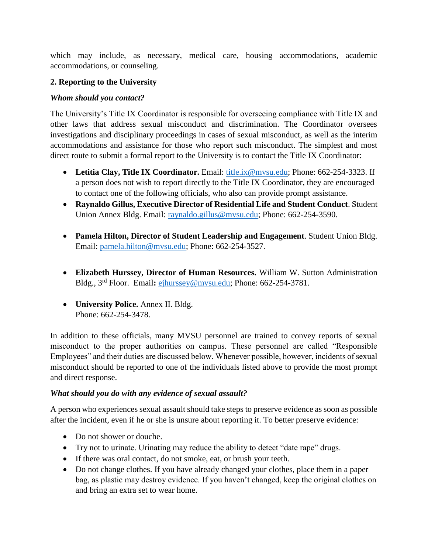which may include, as necessary, medical care, housing accommodations, academic accommodations, or counseling.

## **2. Reporting to the University**

## *Whom should you contact?*

The University's Title IX Coordinator is responsible for overseeing compliance with Title IX and other laws that address sexual misconduct and discrimination. The Coordinator oversees investigations and disciplinary proceedings in cases of sexual misconduct, as well as the interim accommodations and assistance for those who report such misconduct. The simplest and most direct route to submit a formal report to the University is to contact the Title IX Coordinator:

- Letitia Clay, Title IX Coordinator. Email: [title.ix@mvsu.edu;](mailto:title.ix@mvsu.edu) Phone: 662-254-3323. If a person does not wish to report directly to the Title IX Coordinator, they are encouraged to contact one of the following officials, who also can provide prompt assistance.
- **Raynaldo Gillus, Executive Director of Residential Life and Student Conduct**. Student Union Annex Bldg. Email: [raynaldo.gillus@mvsu.edu;](mailto:raynaldo.gillus@mvsu.edu) Phone: 662-254-3590.
- **Pamela Hilton, Director of Student Leadership and Engagement**. Student Union Bldg. Email: [pamela.hilton@mvsu.edu;](mailto:pamela.hilton@mvsu.edu) Phone: 662-254-3527.
- **Elizabeth Hurssey, Director of Human Resources.** William W. Sutton Administration Bldg., 3rd Floor. Email**:** [ejhurssey@mvsu.edu;](mailto:ejhurssey@mvsu.edu) Phone: 662-254-3781.
- **University Police.** Annex II. Bldg. Phone: 662-254-3478.

In addition to these officials, many MVSU personnel are trained to convey reports of sexual misconduct to the proper authorities on campus. These personnel are called "Responsible Employees" and their duties are discussed below. Whenever possible, however, incidents of sexual misconduct should be reported to one of the individuals listed above to provide the most prompt and direct response.

### *What should you do with any evidence of sexual assault?*

A person who experiences sexual assault should take steps to preserve evidence as soon as possible after the incident, even if he or she is unsure about reporting it. To better preserve evidence:

- Do not shower or douche.
- Try not to urinate. Urinating may reduce the ability to detect "date rape" drugs.
- If there was oral contact, do not smoke, eat, or brush your teeth.
- Do not change clothes. If you have already changed your clothes, place them in a paper bag, as plastic may destroy evidence. If you haven't changed, keep the original clothes on and bring an extra set to wear home.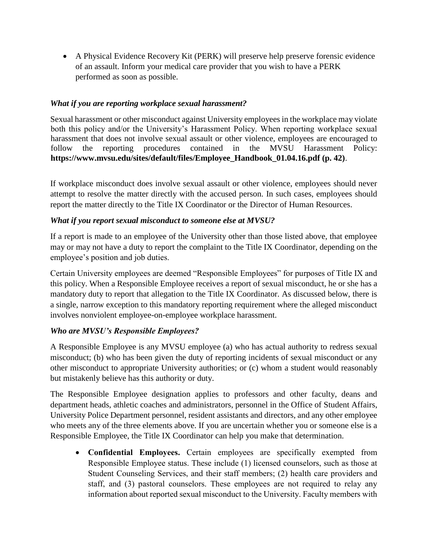• A Physical Evidence Recovery Kit (PERK) will preserve help preserve forensic evidence of an assault. Inform your medical care provider that you wish to have a PERK performed as soon as possible.

## *What if you are reporting workplace sexual harassment?*

Sexual harassment or other misconduct against University employees in the workplace may violate both this policy and/or the University's Harassment Policy. When reporting workplace sexual harassment that does not involve sexual assault or other violence, employees are encouraged to follow the reporting procedures contained in the MVSU Harassment Policy: **https://www.mvsu.edu/sites/default/files/Employee\_Handbook\_01.04.16.pdf (p. 42)**.

If workplace misconduct does involve sexual assault or other violence, employees should never attempt to resolve the matter directly with the accused person. In such cases, employees should report the matter directly to the Title IX Coordinator or the Director of Human Resources.

### *What if you report sexual misconduct to someone else at MVSU?*

If a report is made to an employee of the University other than those listed above, that employee may or may not have a duty to report the complaint to the Title IX Coordinator, depending on the employee's position and job duties.

Certain University employees are deemed "Responsible Employees" for purposes of Title IX and this policy. When a Responsible Employee receives a report of sexual misconduct, he or she has a mandatory duty to report that allegation to the Title IX Coordinator. As discussed below, there is a single, narrow exception to this mandatory reporting requirement where the alleged misconduct involves nonviolent employee-on-employee workplace harassment.

### *Who are MVSU's Responsible Employees?*

A Responsible Employee is any MVSU employee (a) who has actual authority to redress sexual misconduct; (b) who has been given the duty of reporting incidents of sexual misconduct or any other misconduct to appropriate University authorities; or (c) whom a student would reasonably but mistakenly believe has this authority or duty.

The Responsible Employee designation applies to professors and other faculty, deans and department heads, athletic coaches and administrators, personnel in the Office of Student Affairs, University Police Department personnel, resident assistants and directors, and any other employee who meets any of the three elements above. If you are uncertain whether you or someone else is a Responsible Employee, the Title IX Coordinator can help you make that determination.

• **Confidential Employees.** Certain employees are specifically exempted from Responsible Employee status. These include (1) licensed counselors, such as those at Student Counseling Services, and their staff members; (2) health care providers and staff, and (3) pastoral counselors. These employees are not required to relay any information about reported sexual misconduct to the University. Faculty members with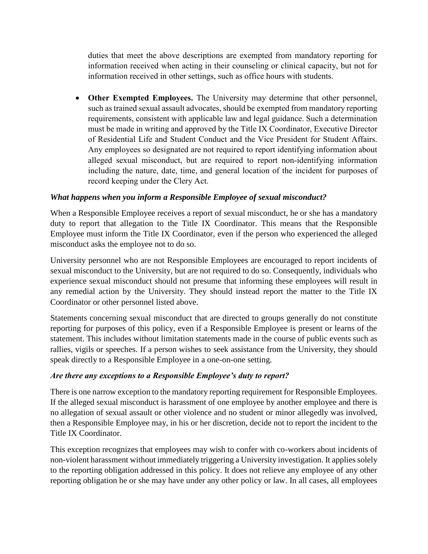duties that meet the above descriptions are exempted from mandatory reporting for information received when acting in their counseling or clinical capacity, but not for information received in other settings, such as office hours with students.

• **Other Exempted Employees.** The University may determine that other personnel, such as trained sexual assault advocates, should be exempted from mandatory reporting requirements, consistent with applicable law and legal guidance. Such a determination must be made in writing and approved by the Title IX Coordinator, Executive Director of Residential Life and Student Conduct and the Vice President for Student Affairs. Any employees so designated are not required to report identifying information about alleged sexual misconduct, but are required to report non-identifying information including the nature, date, time, and general location of the incident for purposes of record keeping under the Clery Act.

### *What happens when you inform a Responsible Employee of sexual misconduct?*

When a Responsible Employee receives a report of sexual misconduct, he or she has a mandatory duty to report that allegation to the Title IX Coordinator. This means that the Responsible Employee must inform the Title IX Coordinator, even if the person who experienced the alleged misconduct asks the employee not to do so.

University personnel who are not Responsible Employees are encouraged to report incidents of sexual misconduct to the University, but are not required to do so. Consequently, individuals who experience sexual misconduct should not presume that informing these employees will result in any remedial action by the University. They should instead report the matter to the Title IX Coordinator or other personnel listed above.

Statements concerning sexual misconduct that are directed to groups generally do not constitute reporting for purposes of this policy, even if a Responsible Employee is present or learns of the statement. This includes without limitation statements made in the course of public events such as rallies, vigils or speeches. If a person wishes to seek assistance from the University, they should speak directly to a Responsible Employee in a one-on-one setting.

### *Are there any exceptions to a Responsible Employee's duty to report?*

There is one narrow exception to the mandatory reporting requirement for Responsible Employees. If the alleged sexual misconduct is harassment of one employee by another employee and there is no allegation of sexual assault or other violence and no student or minor allegedly was involved, then a Responsible Employee may, in his or her discretion, decide not to report the incident to the Title IX Coordinator.

This exception recognizes that employees may wish to confer with co-workers about incidents of non-violent harassment without immediately triggering a University investigation. It applies solely to the reporting obligation addressed in this policy. It does not relieve any employee of any other reporting obligation he or she may have under any other policy or law. In all cases, all employees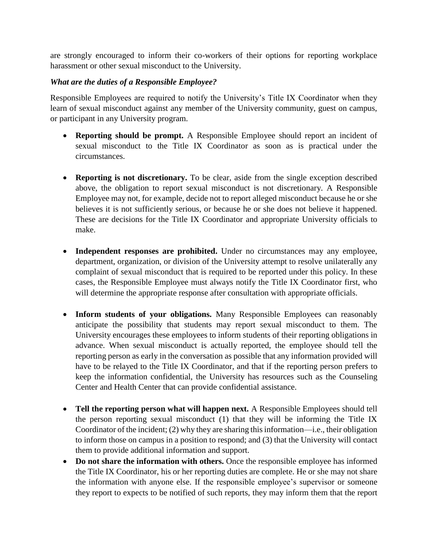are strongly encouraged to inform their co-workers of their options for reporting workplace harassment or other sexual misconduct to the University.

## *What are the duties of a Responsible Employee?*

Responsible Employees are required to notify the University's Title IX Coordinator when they learn of sexual misconduct against any member of the University community, guest on campus, or participant in any University program.

- **Reporting should be prompt.** A Responsible Employee should report an incident of sexual misconduct to the Title IX Coordinator as soon as is practical under the circumstances.
- **Reporting is not discretionary.** To be clear, aside from the single exception described above, the obligation to report sexual misconduct is not discretionary. A Responsible Employee may not, for example, decide not to report alleged misconduct because he or she believes it is not sufficiently serious, or because he or she does not believe it happened. These are decisions for the Title IX Coordinator and appropriate University officials to make.
- **Independent responses are prohibited.** Under no circumstances may any employee, department, organization, or division of the University attempt to resolve unilaterally any complaint of sexual misconduct that is required to be reported under this policy. In these cases, the Responsible Employee must always notify the Title IX Coordinator first, who will determine the appropriate response after consultation with appropriate officials.
- **Inform students of your obligations.** Many Responsible Employees can reasonably anticipate the possibility that students may report sexual misconduct to them. The University encourages these employees to inform students of their reporting obligations in advance. When sexual misconduct is actually reported, the employee should tell the reporting person as early in the conversation as possible that any information provided will have to be relayed to the Title IX Coordinator, and that if the reporting person prefers to keep the information confidential, the University has resources such as the Counseling Center and Health Center that can provide confidential assistance.
- Tell the reporting person what will happen next. A Responsible Employees should tell the person reporting sexual misconduct (1) that they will be informing the Title IX Coordinator of the incident; (2) why they are sharing this information—i.e., their obligation to inform those on campus in a position to respond; and (3) that the University will contact them to provide additional information and support.
- **Do not share the information with others.** Once the responsible employee has informed the Title IX Coordinator, his or her reporting duties are complete. He or she may not share the information with anyone else. If the responsible employee's supervisor or someone they report to expects to be notified of such reports, they may inform them that the report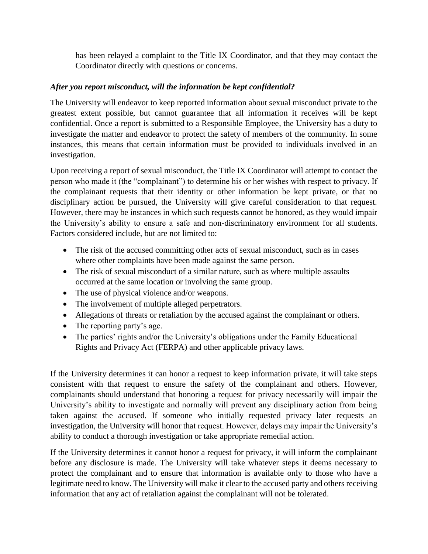has been relayed a complaint to the Title IX Coordinator, and that they may contact the Coordinator directly with questions or concerns.

## *After you report misconduct, will the information be kept confidential?*

The University will endeavor to keep reported information about sexual misconduct private to the greatest extent possible, but cannot guarantee that all information it receives will be kept confidential. Once a report is submitted to a Responsible Employee, the University has a duty to investigate the matter and endeavor to protect the safety of members of the community. In some instances, this means that certain information must be provided to individuals involved in an investigation.

Upon receiving a report of sexual misconduct, the Title IX Coordinator will attempt to contact the person who made it (the "complainant") to determine his or her wishes with respect to privacy. If the complainant requests that their identity or other information be kept private, or that no disciplinary action be pursued, the University will give careful consideration to that request. However, there may be instances in which such requests cannot be honored, as they would impair the University's ability to ensure a safe and non-discriminatory environment for all students. Factors considered include, but are not limited to:

- The risk of the accused committing other acts of sexual misconduct, such as in cases where other complaints have been made against the same person.
- The risk of sexual misconduct of a similar nature, such as where multiple assaults occurred at the same location or involving the same group.
- The use of physical violence and/or weapons.
- The involvement of multiple alleged perpetrators.
- Allegations of threats or retaliation by the accused against the complainant or others.
- The reporting party's age.
- The parties' rights and/or the University's obligations under the Family Educational Rights and Privacy Act (FERPA) and other applicable privacy laws.

If the University determines it can honor a request to keep information private, it will take steps consistent with that request to ensure the safety of the complainant and others. However, complainants should understand that honoring a request for privacy necessarily will impair the University's ability to investigate and normally will prevent any disciplinary action from being taken against the accused. If someone who initially requested privacy later requests an investigation, the University will honor that request. However, delays may impair the University's ability to conduct a thorough investigation or take appropriate remedial action.

If the University determines it cannot honor a request for privacy, it will inform the complainant before any disclosure is made. The University will take whatever steps it deems necessary to protect the complainant and to ensure that information is available only to those who have a legitimate need to know. The University will make it clear to the accused party and others receiving information that any act of retaliation against the complainant will not be tolerated.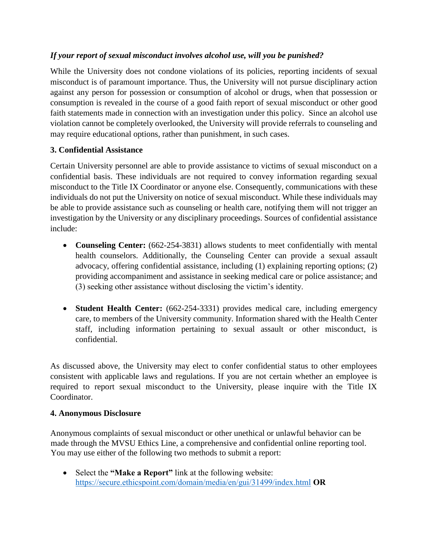# *If your report of sexual misconduct involves alcohol use, will you be punished?*

While the University does not condone violations of its policies, reporting incidents of sexual misconduct is of paramount importance. Thus, the University will not pursue disciplinary action against any person for possession or consumption of alcohol or drugs, when that possession or consumption is revealed in the course of a good faith report of sexual misconduct or other good faith statements made in connection with an investigation under this policy. Since an alcohol use violation cannot be completely overlooked, the University will provide referrals to counseling and may require educational options, rather than punishment, in such cases.

# **3. Confidential Assistance**

Certain University personnel are able to provide assistance to victims of sexual misconduct on a confidential basis. These individuals are not required to convey information regarding sexual misconduct to the Title IX Coordinator or anyone else. Consequently, communications with these individuals do not put the University on notice of sexual misconduct. While these individuals may be able to provide assistance such as counseling or health care, notifying them will not trigger an investigation by the University or any disciplinary proceedings. Sources of confidential assistance include:

- **Counseling Center:** (662-254-3831) allows students to meet confidentially with mental health counselors. Additionally, the Counseling Center can provide a sexual assault advocacy, offering confidential assistance, including (1) explaining reporting options; (2) providing accompaniment and assistance in seeking medical care or police assistance; and (3) seeking other assistance without disclosing the victim's identity.
- **Student Health Center:** (662-254-3331) provides medical care, including emergency care, to members of the University community. Information shared with the Health Center staff, including information pertaining to sexual assault or other misconduct, is confidential.

As discussed above, the University may elect to confer confidential status to other employees consistent with applicable laws and regulations. If you are not certain whether an employee is required to report sexual misconduct to the University, please inquire with the Title IX Coordinator.

### **4. Anonymous Disclosure**

Anonymous complaints of sexual misconduct or other unethical or unlawful behavior can be made through the MVSU Ethics Line, a comprehensive and confidential online reporting tool. You may use either of the following two methods to submit a report:

• Select the **"Make a Report"** link at the following website: <https://secure.ethicspoint.com/domain/media/en/gui/31499/index.html> **OR**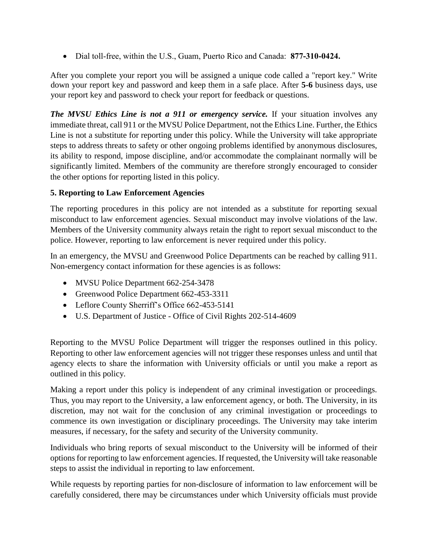• Dial toll-free, within the U.S., Guam, Puerto Rico and Canada: **877-310-0424.**

After you complete your report you will be assigned a unique code called a "report key." Write down your report key and password and keep them in a safe place. After **5-6** business days, use your report key and password to check your report for feedback or questions.

*The MVSU Ethics Line is not a 911 or emergency service.* If your situation involves any immediate threat, call 911 or the MVSU Police Department, not the Ethics Line. Further, the Ethics Line is not a substitute for reporting under this policy. While the University will take appropriate steps to address threats to safety or other ongoing problems identified by anonymous disclosures, its ability to respond, impose discipline, and/or accommodate the complainant normally will be significantly limited. Members of the community are therefore strongly encouraged to consider the other options for reporting listed in this policy.

### **5. Reporting to Law Enforcement Agencies**

The reporting procedures in this policy are not intended as a substitute for reporting sexual misconduct to law enforcement agencies. Sexual misconduct may involve violations of the law. Members of the University community always retain the right to report sexual misconduct to the police. However, reporting to law enforcement is never required under this policy.

In an emergency, the MVSU and Greenwood Police Departments can be reached by calling 911. Non-emergency contact information for these agencies is as follows:

- MVSU Police Department 662-254-3478
- Greenwood Police Department 662-453-3311
- Leflore County Sherriff's Office 662-453-5141
- U.S. Department of Justice Office of Civil Rights 202-514-4609

Reporting to the MVSU Police Department will trigger the responses outlined in this policy. Reporting to other law enforcement agencies will not trigger these responses unless and until that agency elects to share the information with University officials or until you make a report as outlined in this policy.

Making a report under this policy is independent of any criminal investigation or proceedings. Thus, you may report to the University, a law enforcement agency, or both. The University, in its discretion, may not wait for the conclusion of any criminal investigation or proceedings to commence its own investigation or disciplinary proceedings. The University may take interim measures, if necessary, for the safety and security of the University community.

Individuals who bring reports of sexual misconduct to the University will be informed of their options for reporting to law enforcement agencies. If requested, the University will take reasonable steps to assist the individual in reporting to law enforcement.

While requests by reporting parties for non-disclosure of information to law enforcement will be carefully considered, there may be circumstances under which University officials must provide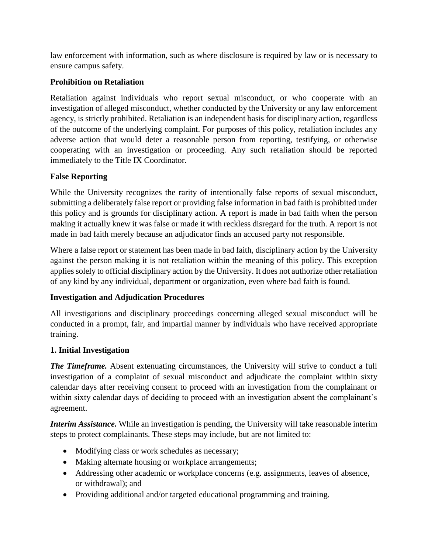law enforcement with information, such as where disclosure is required by law or is necessary to ensure campus safety.

# **Prohibition on Retaliation**

Retaliation against individuals who report sexual misconduct, or who cooperate with an investigation of alleged misconduct, whether conducted by the University or any law enforcement agency, is strictly prohibited. Retaliation is an independent basis for disciplinary action, regardless of the outcome of the underlying complaint. For purposes of this policy, retaliation includes any adverse action that would deter a reasonable person from reporting, testifying, or otherwise cooperating with an investigation or proceeding. Any such retaliation should be reported immediately to the Title IX Coordinator.

# **False Reporting**

While the University recognizes the rarity of intentionally false reports of sexual misconduct, submitting a deliberately false report or providing false information in bad faith is prohibited under this policy and is grounds for disciplinary action. A report is made in bad faith when the person making it actually knew it was false or made it with reckless disregard for the truth. A report is not made in bad faith merely because an adjudicator finds an accused party not responsible.

Where a false report or statement has been made in bad faith, disciplinary action by the University against the person making it is not retaliation within the meaning of this policy. This exception applies solely to official disciplinary action by the University. It does not authorize other retaliation of any kind by any individual, department or organization, even where bad faith is found.

### **Investigation and Adjudication Procedures**

All investigations and disciplinary proceedings concerning alleged sexual misconduct will be conducted in a prompt, fair, and impartial manner by individuals who have received appropriate training.

### **1. Initial Investigation**

*The Timeframe.* Absent extenuating circumstances, the University will strive to conduct a full investigation of a complaint of sexual misconduct and adjudicate the complaint within sixty calendar days after receiving consent to proceed with an investigation from the complainant or within sixty calendar days of deciding to proceed with an investigation absent the complainant's agreement.

*Interim Assistance.* While an investigation is pending, the University will take reasonable interim steps to protect complainants. These steps may include, but are not limited to:

- Modifying class or work schedules as necessary;
- Making alternate housing or workplace arrangements;
- Addressing other academic or workplace concerns (e.g. assignments, leaves of absence, or withdrawal); and
- Providing additional and/or targeted educational programming and training.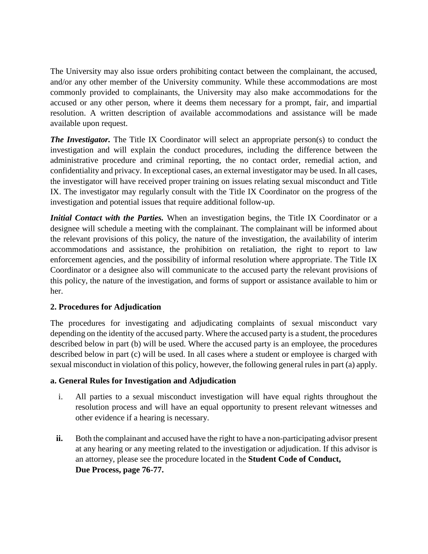The University may also issue orders prohibiting contact between the complainant, the accused, and/or any other member of the University community. While these accommodations are most commonly provided to complainants, the University may also make accommodations for the accused or any other person, where it deems them necessary for a prompt, fair, and impartial resolution. A written description of available accommodations and assistance will be made available upon request.

*The Investigator.* The Title IX Coordinator will select an appropriate person(s) to conduct the investigation and will explain the conduct procedures, including the difference between the administrative procedure and criminal reporting, the no contact order, remedial action, and confidentiality and privacy. In exceptional cases, an external investigator may be used. In all cases, the investigator will have received proper training on issues relating sexual misconduct and Title IX. The investigator may regularly consult with the Title IX Coordinator on the progress of the investigation and potential issues that require additional follow-up.

*Initial Contact with the Parties.* When an investigation begins, the Title IX Coordinator or a designee will schedule a meeting with the complainant. The complainant will be informed about the relevant provisions of this policy, the nature of the investigation, the availability of interim accommodations and assistance, the prohibition on retaliation, the right to report to law enforcement agencies, and the possibility of informal resolution where appropriate. The Title IX Coordinator or a designee also will communicate to the accused party the relevant provisions of this policy, the nature of the investigation, and forms of support or assistance available to him or her.

### **2. Procedures for Adjudication**

The procedures for investigating and adjudicating complaints of sexual misconduct vary depending on the identity of the accused party. Where the accused party is a student, the procedures described below in part (b) will be used. Where the accused party is an employee, the procedures described below in part (c) will be used. In all cases where a student or employee is charged with sexual misconduct in violation of this policy, however, the following general rules in part (a) apply.

### **a. General Rules for Investigation and Adjudication**

- i. All parties to a sexual misconduct investigation will have equal rights throughout the resolution process and will have an equal opportunity to present relevant witnesses and other evidence if a hearing is necessary.
- ii. Both the complainant and accused have the right to have a non-participating advisor present at any hearing or any meeting related to the investigation or adjudication. If this advisor is an attorney, please see the procedure located in the **Student Code of Conduct, Due Process, page 76-77.**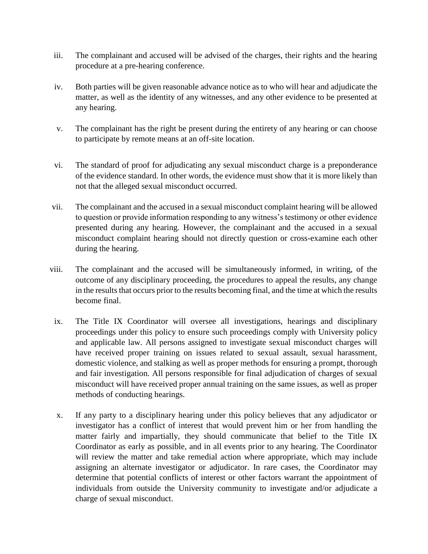- iii. The complainant and accused will be advised of the charges, their rights and the hearing procedure at a pre-hearing conference.
- iv. Both parties will be given reasonable advance notice as to who will hear and adjudicate the matter, as well as the identity of any witnesses, and any other evidence to be presented at any hearing.
- v. The complainant has the right be present during the entirety of any hearing or can choose to participate by remote means at an off-site location.
- vi. The standard of proof for adjudicating any sexual misconduct charge is a preponderance of the evidence standard. In other words, the evidence must show that it is more likely than not that the alleged sexual misconduct occurred.
- vii. The complainant and the accused in a sexual misconduct complaint hearing will be allowed to question or provide information responding to any witness's testimony or other evidence presented during any hearing. However, the complainant and the accused in a sexual misconduct complaint hearing should not directly question or cross-examine each other during the hearing.
- viii. The complainant and the accused will be simultaneously informed, in writing, of the outcome of any disciplinary proceeding, the procedures to appeal the results, any change in the results that occurs prior to the results becoming final, and the time at which the results become final.
	- ix. The Title IX Coordinator will oversee all investigations, hearings and disciplinary proceedings under this policy to ensure such proceedings comply with University policy and applicable law. All persons assigned to investigate sexual misconduct charges will have received proper training on issues related to sexual assault, sexual harassment, domestic violence, and stalking as well as proper methods for ensuring a prompt, thorough and fair investigation. All persons responsible for final adjudication of charges of sexual misconduct will have received proper annual training on the same issues, as well as proper methods of conducting hearings.
	- x. If any party to a disciplinary hearing under this policy believes that any adjudicator or investigator has a conflict of interest that would prevent him or her from handling the matter fairly and impartially, they should communicate that belief to the Title IX Coordinator as early as possible, and in all events prior to any hearing. The Coordinator will review the matter and take remedial action where appropriate, which may include assigning an alternate investigator or adjudicator. In rare cases, the Coordinator may determine that potential conflicts of interest or other factors warrant the appointment of individuals from outside the University community to investigate and/or adjudicate a charge of sexual misconduct.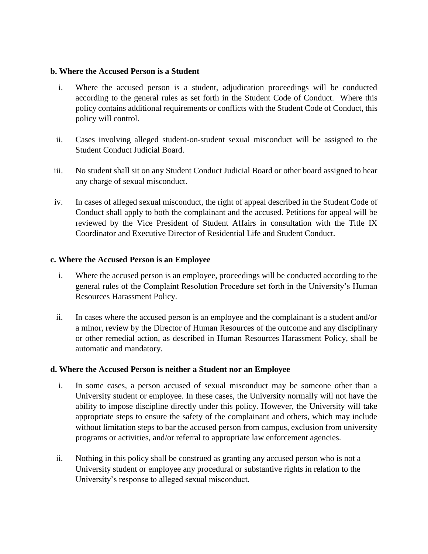#### **b. Where the Accused Person is a Student**

- i. Where the accused person is a student, adjudication proceedings will be conducted according to the general rules as set forth in the Student Code of Conduct. Where this policy contains additional requirements or conflicts with the Student Code of Conduct, this policy will control.
- ii. Cases involving alleged student-on-student sexual misconduct will be assigned to the Student Conduct Judicial Board.
- iii. No student shall sit on any Student Conduct Judicial Board or other board assigned to hear any charge of sexual misconduct.
- iv. In cases of alleged sexual misconduct, the right of appeal described in the Student Code of Conduct shall apply to both the complainant and the accused. Petitions for appeal will be reviewed by the Vice President of Student Affairs in consultation with the Title IX Coordinator and Executive Director of Residential Life and Student Conduct.

#### **c. Where the Accused Person is an Employee**

- i. Where the accused person is an employee, proceedings will be conducted according to the general rules of the Complaint Resolution Procedure set forth in the University's Human Resources Harassment Policy.
- ii. In cases where the accused person is an employee and the complainant is a student and/or a minor, review by the Director of Human Resources of the outcome and any disciplinary or other remedial action, as described in Human Resources Harassment Policy, shall be automatic and mandatory.

#### **d. Where the Accused Person is neither a Student nor an Employee**

- i. In some cases, a person accused of sexual misconduct may be someone other than a University student or employee. In these cases, the University normally will not have the ability to impose discipline directly under this policy. However, the University will take appropriate steps to ensure the safety of the complainant and others, which may include without limitation steps to bar the accused person from campus, exclusion from university programs or activities, and/or referral to appropriate law enforcement agencies.
- ii. Nothing in this policy shall be construed as granting any accused person who is not a University student or employee any procedural or substantive rights in relation to the University's response to alleged sexual misconduct.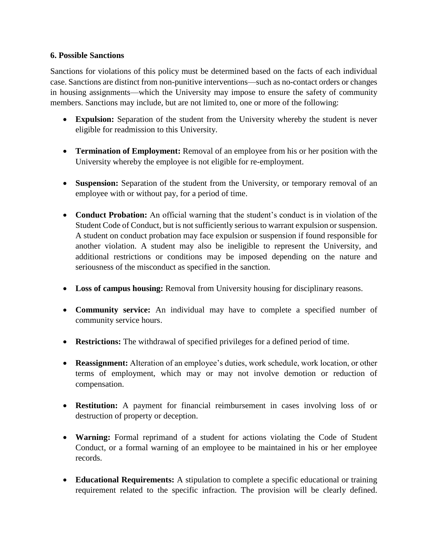#### **6. Possible Sanctions**

Sanctions for violations of this policy must be determined based on the facts of each individual case. Sanctions are distinct from non-punitive interventions—such as no-contact orders or changes in housing assignments—which the University may impose to ensure the safety of community members. Sanctions may include, but are not limited to, one or more of the following:

- **Expulsion:** Separation of the student from the University whereby the student is never eligible for readmission to this University.
- **Termination of Employment:** Removal of an employee from his or her position with the University whereby the employee is not eligible for re-employment.
- **Suspension:** Separation of the student from the University, or temporary removal of an employee with or without pay, for a period of time.
- **Conduct Probation:** An official warning that the student's conduct is in violation of the Student Code of Conduct, but is not sufficiently serious to warrant expulsion or suspension. A student on conduct probation may face expulsion or suspension if found responsible for another violation. A student may also be ineligible to represent the University, and additional restrictions or conditions may be imposed depending on the nature and seriousness of the misconduct as specified in the sanction.
- **Loss of campus housing:** Removal from University housing for disciplinary reasons.
- **Community service:** An individual may have to complete a specified number of community service hours.
- **Restrictions:** The withdrawal of specified privileges for a defined period of time.
- **Reassignment:** Alteration of an employee's duties, work schedule, work location, or other terms of employment, which may or may not involve demotion or reduction of compensation.
- **Restitution:** A payment for financial reimbursement in cases involving loss of or destruction of property or deception.
- **Warning:** Formal reprimand of a student for actions violating the Code of Student Conduct, or a formal warning of an employee to be maintained in his or her employee records.
- **Educational Requirements:** A stipulation to complete a specific educational or training requirement related to the specific infraction. The provision will be clearly defined.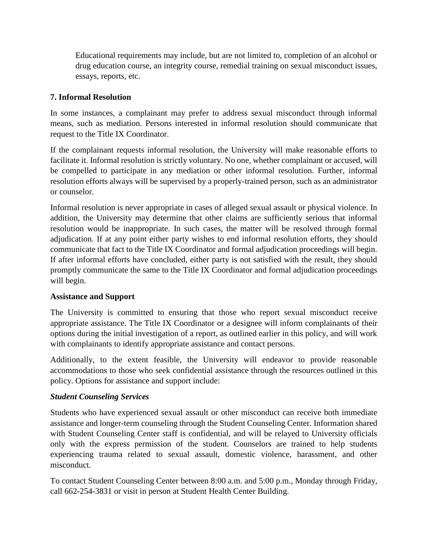Educational requirements may include, but are not limited to, completion of an alcohol or drug education course, an integrity course, remedial training on sexual misconduct issues, essays, reports, etc.

#### **7. Informal Resolution**

In some instances, a complainant may prefer to address sexual misconduct through informal means, such as mediation. Persons interested in informal resolution should communicate that request to the Title IX Coordinator.

If the complainant requests informal resolution, the University will make reasonable efforts to facilitate it. Informal resolution is strictly voluntary. No one, whether complainant or accused, will be compelled to participate in any mediation or other informal resolution. Further, informal resolution efforts always will be supervised by a properly-trained person, such as an administrator or counselor.

Informal resolution is never appropriate in cases of alleged sexual assault or physical violence. In addition, the University may determine that other claims are sufficiently serious that informal resolution would be inappropriate. In such cases, the matter will be resolved through formal adjudication. If at any point either party wishes to end informal resolution efforts, they should communicate that fact to the Title IX Coordinator and formal adjudication proceedings will begin. If after informal efforts have concluded, either party is not satisfied with the result, they should promptly communicate the same to the Title IX Coordinator and formal adjudication proceedings will begin.

### **Assistance and Support**

The University is committed to ensuring that those who report sexual misconduct receive appropriate assistance. The Title IX Coordinator or a designee will inform complainants of their options during the initial investigation of a report, as outlined earlier in this policy, and will work with complainants to identify appropriate assistance and contact persons.

Additionally, to the extent feasible, the University will endeavor to provide reasonable accommodations to those who seek confidential assistance through the resources outlined in this policy. Options for assistance and support include:

#### *Student Counseling Services*

Students who have experienced sexual assault or other misconduct can receive both immediate assistance and longer-term counseling through the Student Counseling Center. Information shared with Student Counseling Center staff is confidential, and will be relayed to University officials only with the express permission of the student. Counselors are trained to help students experiencing trauma related to sexual assault, domestic violence, harassment, and other misconduct.

To contact Student Counseling Center between 8:00 a.m. and 5:00 p.m., Monday through Friday, call 662-254-3831 or visit in person at Student Health Center Building.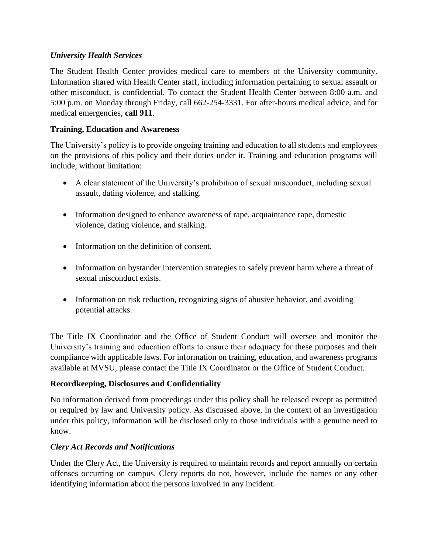## *University Health Services*

The Student Health Center provides medical care to members of the University community. Information shared with Health Center staff, including information pertaining to sexual assault or other misconduct, is confidential. To contact the Student Health Center between 8:00 a.m. and 5:00 p.m. on Monday through Friday, call 662-254-3331. For after-hours medical advice, and for medical emergencies, **call 911**.

# **Training, Education and Awareness**

The University's policy is to provide ongoing training and education to all students and employees on the provisions of this policy and their duties under it. Training and education programs will include, without limitation:

- A clear statement of the University's prohibition of sexual misconduct, including sexual assault, dating violence, and stalking.
- Information designed to enhance awareness of rape, acquaintance rape, domestic violence, dating violence, and stalking.
- Information on the definition of consent.
- Information on bystander intervention strategies to safely prevent harm where a threat of sexual misconduct exists.
- Information on risk reduction, recognizing signs of abusive behavior, and avoiding potential attacks.

The Title IX Coordinator and the Office of Student Conduct will oversee and monitor the University's training and education efforts to ensure their adequacy for these purposes and their compliance with applicable laws. For information on training, education, and awareness programs available at MVSU, please contact the Title IX Coordinator or the Office of Student Conduct.

### **Recordkeeping, Disclosures and Confidentiality**

No information derived from proceedings under this policy shall be released except as permitted or required by law and University policy. As discussed above, in the context of an investigation under this policy, information will be disclosed only to those individuals with a genuine need to know.

# *Clery Act Records and Notifications*

Under the Clery Act, the University is required to maintain records and report annually on certain offenses occurring on campus. Clery reports do not, however, include the names or any other identifying information about the persons involved in any incident.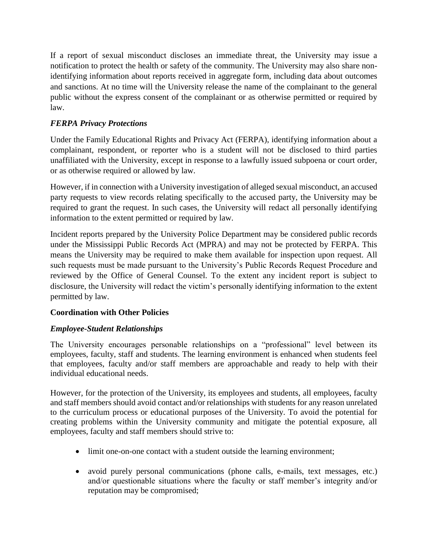If a report of sexual misconduct discloses an immediate threat, the University may issue a notification to protect the health or safety of the community. The University may also share nonidentifying information about reports received in aggregate form, including data about outcomes and sanctions. At no time will the University release the name of the complainant to the general public without the express consent of the complainant or as otherwise permitted or required by law.

# *FERPA Privacy Protections*

Under the Family Educational Rights and Privacy Act (FERPA), identifying information about a complainant, respondent, or reporter who is a student will not be disclosed to third parties unaffiliated with the University, except in response to a lawfully issued subpoena or court order, or as otherwise required or allowed by law.

However, if in connection with a University investigation of alleged sexual misconduct, an accused party requests to view records relating specifically to the accused party, the University may be required to grant the request. In such cases, the University will redact all personally identifying information to the extent permitted or required by law.

Incident reports prepared by the University Police Department may be considered public records under the Mississippi Public Records Act (MPRA) and may not be protected by FERPA. This means the University may be required to make them available for inspection upon request. All such requests must be made pursuant to the University's Public Records Request Procedure and reviewed by the Office of General Counsel. To the extent any incident report is subject to disclosure, the University will redact the victim's personally identifying information to the extent permitted by law.

# **Coordination with Other Policies**

# *Employee-Student Relationships*

The University encourages personable relationships on a "professional" level between its employees, faculty, staff and students. The learning environment is enhanced when students feel that employees, faculty and/or staff members are approachable and ready to help with their individual educational needs.

However, for the protection of the University, its employees and students, all employees, faculty and staff members should avoid contact and/or relationships with students for any reason unrelated to the curriculum process or educational purposes of the University. To avoid the potential for creating problems within the University community and mitigate the potential exposure, all employees, faculty and staff members should strive to:

- limit one-on-one contact with a student outside the learning environment;
- avoid purely personal communications (phone calls, e-mails, text messages, etc.) and/or questionable situations where the faculty or staff member's integrity and/or reputation may be compromised;